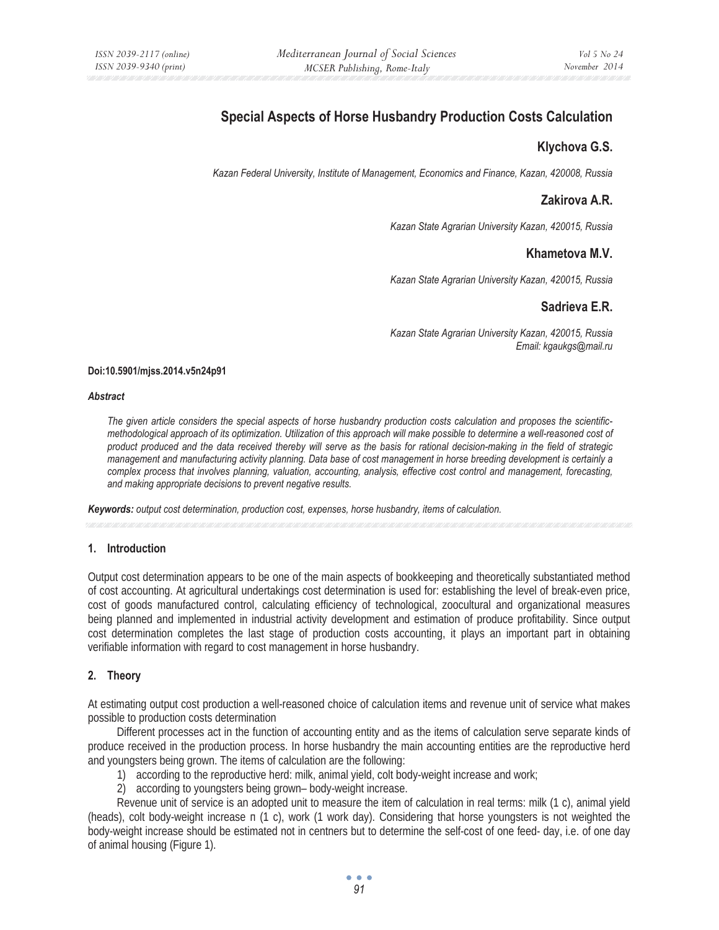# **Special Aspects of Horse Husbandry Production Costs Calculation**

## **Klychova G.S.**

*Kazan Federal University, Institute of Management, Economics and Finance, Kazan, 420008, Russia* 

## **Zakirova A.R.**

*Kazan State Agrarian University Kazan, 420015, Russia* 

## **Khametova M.V.**

*Kazan State Agrarian University Kazan, 420015, Russia* 

## **Sadrieva E.R.**

*Kazan State Agrarian University Kazan, 420015, Russia Email: kgaukgs@mail.ru* 

#### **Doi:10.5901/mjss.2014.v5n24p91**

#### *Abstract*

*The given article considers the special aspects of horse husbandry production costs calculation and proposes the scientificmethodological approach of its optimization. Utilization of this approach will make possible to determine a well-reasoned cost of product produced and the data received thereby will serve as the basis for rational decision-making in the field of strategic management and manufacturing activity planning. Data base of cost management in horse breeding development is certainly a complex process that involves planning, valuation, accounting, analysis, effective cost control and management, forecasting, and making appropriate decisions to prevent negative results.* 

*Keywords: output cost determination, production cost, expenses, horse husbandry, items of calculation.* 

### **1. Introduction**

Output cost determination appears to be one of the main aspects of bookkeeping and theoretically substantiated method of cost accounting. At agricultural undertakings cost determination is used for: establishing the level of break-even price, cost of goods manufactured control, calculating efficiency of technological, zoocultural and organizational measures being planned and implemented in industrial activity development and estimation of produce profitability. Since output cost determination completes the last stage of production costs accounting, it plays an important part in obtaining verifiable information with regard to cost management in horse husbandry.

### **2. Theory**

At estimating output cost production a well-reasoned choice of calculation items and revenue unit of service what makes possible to production costs determination

Different processes act in the function of accounting entity and as the items of calculation serve separate kinds of produce received in the production process. In horse husbandry the main accounting entities are the reproductive herd and youngsters being grown. The items of calculation are the following:

- 1) according to the reproductive herd: milk, animal yield, colt body-weight increase and work;
- 2) according to youngsters being grown– body-weight increase.

Revenue unit of service is an adopted unit to measure the item of calculation in real terms: milk (1 c), animal yield (heads), colt body-weight increase  $\pi$  (1 c), work (1 work day). Considering that horse youngsters is not weighted the body-weight increase should be estimated not in centners but to determine the self-cost of one feed- day, i.e. of one day of animal housing (Figure 1).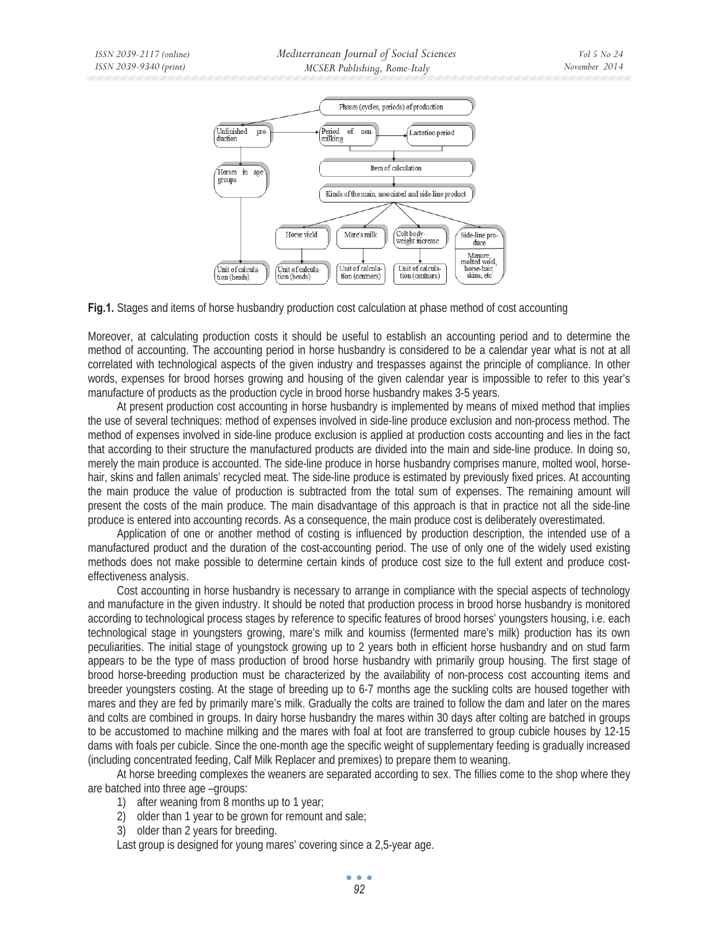

**Fig.1.** Stages and items of horse husbandry production cost calculation at phase method of cost accounting

Moreover, at calculating production costs it should be useful to establish an accounting period and to determine the method of accounting. The accounting period in horse husbandry is considered to be a calendar year what is not at all correlated with technological aspects of the given industry and trespasses against the principle of compliance. In other words, expenses for brood horses growing and housing of the given calendar year is impossible to refer to this year's manufacture of products as the production cycle in brood horse husbandry makes 3-5 years.

At present production cost accounting in horse husbandry is implemented by means of mixed method that implies the use of several techniques: method of expenses involved in side-line produce exclusion and non-process method. The method of expenses involved in side-line produce exclusion is applied at production costs accounting and lies in the fact that according to their structure the manufactured products are divided into the main and side-line produce. In doing so, merely the main produce is accounted. The side-line produce in horse husbandry comprises manure, molted wool, horsehair, skins and fallen animals' recycled meat. The side-line produce is estimated by previously fixed prices. At accounting the main produce the value of production is subtracted from the total sum of expenses. The remaining amount will present the costs of the main produce. The main disadvantage of this approach is that in practice not all the side-line produce is entered into accounting records. As a consequence, the main produce cost is deliberately overestimated.

Application of one or another method of costing is influenced by production description, the intended use of a manufactured product and the duration of the cost-accounting period. The use of only one of the widely used existing methods does not make possible to determine certain kinds of produce cost size to the full extent and produce costeffectiveness analysis.

Cost accounting in horse husbandry is necessary to arrange in compliance with the special aspects of technology and manufacture in the given industry. It should be noted that production process in brood horse husbandry is monitored according to technological process stages by reference to specific features of brood horses' youngsters housing, i.e. each technological stage in youngsters growing, mare's milk and koumiss (fermented mare's milk) production has its own peculiarities. The initial stage of youngstock growing up to 2 years both in efficient horse husbandry and on stud farm appears to be the type of mass production of brood horse husbandry with primarily group housing. The first stage of brood horse-breeding production must be characterized by the availability of non-process cost accounting items and breeder youngsters costing. At the stage of breeding up to 6-7 months age the suckling colts are housed together with mares and they are fed by primarily mare's milk. Gradually the colts are trained to follow the dam and later on the mares and colts are combined in groups. In dairy horse husbandry the mares within 30 days after colting are batched in groups to be accustomed to machine milking and the mares with foal at foot are transferred to group cubicle houses by 12-15 dams with foals per cubicle. Since the one-month age the specific weight of supplementary feeding is gradually increased (including concentrated feeding, Calf Milk Replacer and premixes) to prepare them to weaning.

At horse breeding complexes the weaners are separated according to sex. The fillies come to the shop where they are batched into three age –groups:

- 1) after weaning from 8 months up to 1 year;
- 2) older than 1 year to be grown for remount and sale;
- 3) older than 2 years for breeding.

Last group is designed for young mares' covering since a 2,5-year age.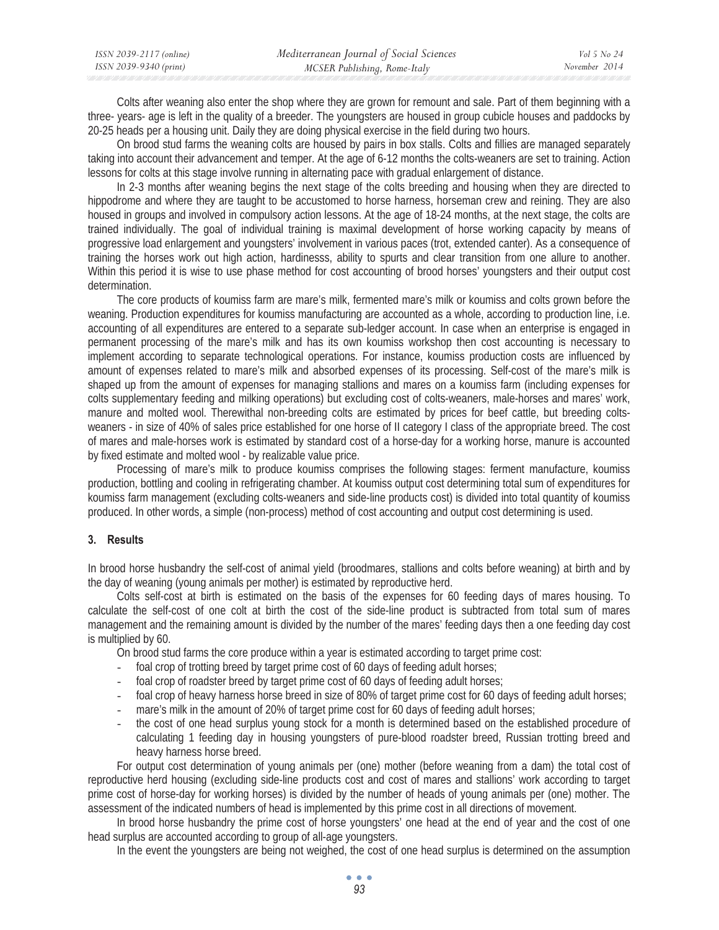| ISSN 2039-2117 (online) | Mediterranean Journal of Social Sciences | Vol 5 No 24   |
|-------------------------|------------------------------------------|---------------|
| ISSN 2039-9340 (print)  | MCSER Publishing, Rome-Italy             | November 2014 |

Colts after weaning also enter the shop where they are grown for remount and sale. Part of them beginning with a three- years- age is left in the quality of a breeder. The youngsters are housed in group cubicle houses and paddocks by 20-25 heads per a housing unit. Daily they are doing physical exercise in the field during two hours.

On brood stud farms the weaning colts are housed by pairs in box stalls. Colts and fillies are managed separately taking into account their advancement and temper. At the age of 6-12 months the colts-weaners are set to training. Action lessons for colts at this stage involve running in alternating pace with gradual enlargement of distance.

In 2-3 months after weaning begins the next stage of the colts breeding and housing when they are directed to hippodrome and where they are taught to be accustomed to horse harness, horseman crew and reining. They are also housed in groups and involved in compulsory action lessons. At the age of 18-24 months, at the next stage, the colts are trained individually. The goal of individual training is maximal development of horse working capacity by means of progressive load enlargement and youngsters' involvement in various paces (trot, extended canter). As a consequence of training the horses work out high action, hardinesss, ability to spurts and clear transition from one allure to another. Within this period it is wise to use phase method for cost accounting of brood horses' youngsters and their output cost determination.

The core products of koumiss farm are mare's milk, fermented mare's milk or koumiss and colts grown before the weaning. Production expenditures for koumiss manufacturing are accounted as a whole, according to production line, i.e. accounting of all expenditures are entered to a separate sub-ledger account. In case when an enterprise is engaged in permanent processing of the mare's milk and has its own koumiss workshop then cost accounting is necessary to implement according to separate technological operations. For instance, koumiss production costs are influenced by amount of expenses related to mare's milk and absorbed expenses of its processing. Self-cost of the mare's milk is shaped up from the amount of expenses for managing stallions and mares on a koumiss farm (including expenses for colts supplementary feeding and milking operations) but excluding cost of colts-weaners, male-horses and mares' work, manure and molted wool. Therewithal non-breeding colts are estimated by prices for beef cattle, but breeding coltsweaners - in size of 40% of sales price established for one horse of II category I class of the appropriate breed. The cost of mares and male-horses work is estimated by standard cost of a horse-day for a working horse, manure is accounted by fixed estimate and molted wool - by realizable value price.

Processing of mare's milk to produce koumiss comprises the following stages: ferment manufacture, koumiss production, bottling and cooling in refrigerating chamber. At koumiss output cost determining total sum of expenditures for koumiss farm management (excluding colts-weaners and side-line products cost) is divided into total quantity of koumiss produced. In other words, a simple (non-process) method of cost accounting and output cost determining is used.

### **3. Results**

In brood horse husbandry the self-cost of animal yield (broodmares, stallions and colts before weaning) at birth and by the day of weaning (young animals per mother) is estimated by reproductive herd.

Colts self-cost at birth is estimated on the basis of the expenses for 60 feeding days of mares housing. To calculate the self-cost of one colt at birth the cost of the side-line product is subtracted from total sum of mares management and the remaining amount is divided by the number of the mares' feeding days then a one feeding day cost is multiplied by 60.

On brood stud farms the core produce within a year is estimated according to target prime cost:

- foal crop of trotting breed by target prime cost of 60 days of feeding adult horses;
- foal crop of roadster breed by target prime cost of 60 days of feeding adult horses;
- foal crop of heavy harness horse breed in size of 80% of target prime cost for 60 days of feeding adult horses;
- mare's milk in the amount of 20% of target prime cost for 60 days of feeding adult horses;
- the cost of one head surplus young stock for a month is determined based on the established procedure of calculating 1 feeding day in housing youngsters of pure-blood roadster breed, Russian trotting breed and heavy harness horse breed.

For output cost determination of young animals per (one) mother (before weaning from a dam) the total cost of reproductive herd housing (excluding side-line products cost and cost of mares and stallions' work according to target prime cost of horse-day for working horses) is divided by the number of heads of young animals per (one) mother. The assessment of the indicated numbers of head is implemented by this prime cost in all directions of movement.

In brood horse husbandry the prime cost of horse youngsters' one head at the end of year and the cost of one head surplus are accounted according to group of all-age youngsters.

In the event the youngsters are being not weighed, the cost of one head surplus is determined on the assumption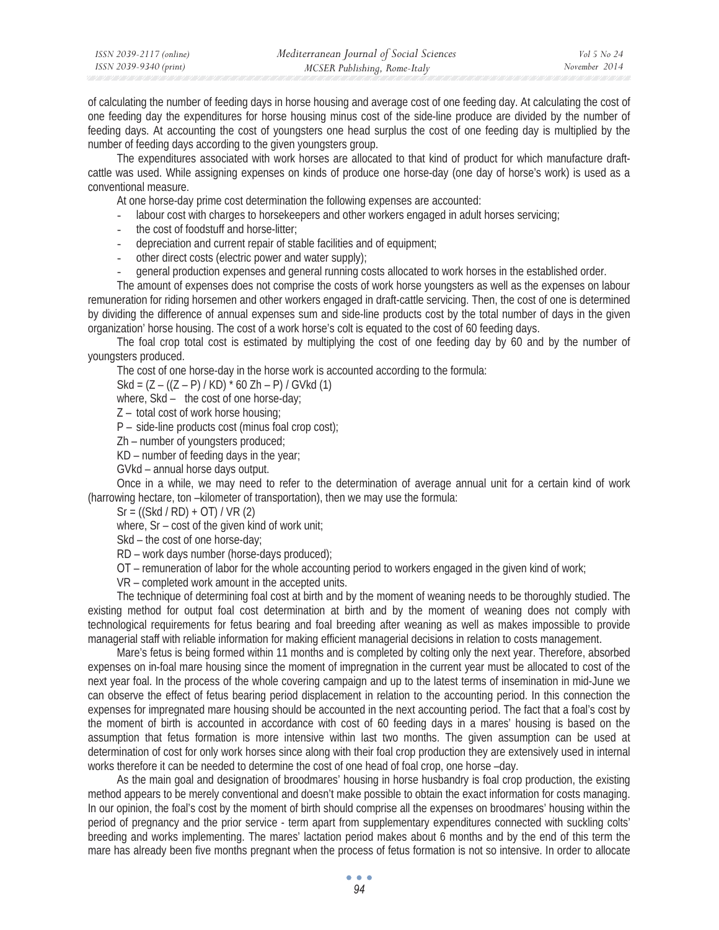| ISSN 2039-2117 (online) | Mediterranean Journal of Social Sciences | Vol 5 No 24   |
|-------------------------|------------------------------------------|---------------|
| ISSN 2039-9340 (print)  | MCSER Publishing, Rome-Italy             | November 2014 |

of calculating the number of feeding days in horse housing and average cost of one feeding day. At calculating the cost of one feeding day the expenditures for horse housing minus cost of the side-line produce are divided by the number of feeding days. At accounting the cost of youngsters one head surplus the cost of one feeding day is multiplied by the number of feeding days according to the given youngsters group.

The expenditures associated with work horses are allocated to that kind of product for which manufacture draftcattle was used. While assigning expenses on kinds of produce one horse-day (one day of horse's work) is used as a conventional measure.

At one horse-day prime cost determination the following expenses are accounted:

- labour cost with charges to horsekeepers and other workers engaged in adult horses servicing;
- the cost of foodstuff and horse-litter;
- depreciation and current repair of stable facilities and of equipment;
- other direct costs (electric power and water supply);
- general production expenses and general running costs allocated to work horses in the established order.

The amount of expenses does not comprise the costs of work horse youngsters as well as the expenses on labour remuneration for riding horsemen and other workers engaged in draft-cattle servicing. Then, the cost of one is determined by dividing the difference of annual expenses sum and side-line products cost by the total number of days in the given organization' horse housing. The cost of a work horse's colt is equated to the cost of 60 feeding days.

The foal crop total cost is estimated by multiplying the cost of one feeding day by 60 and by the number of youngsters produced.

The cost of one horse-day in the horse work is accounted according to the formula:

Skd =  $(Z - ((Z - P) / K D) * 60 Zh - P) / G V k d (1)$ 

where, Skd - the cost of one horse-day;

Z – total cost of work horse housing;

P – side-line products cost (minus foal crop cost);

Zh – number of youngsters produced;

KD – number of feeding days in the year;

GVkd – annual horse days output.

Once in a while, we may need to refer to the determination of average annual unit for a certain kind of work (harrowing hectare, ton –kilometer of transportation), then we may use the formula:

 $Sr = ((Skd / RD) + OT) / VR$  (2)

where, Sr – cost of the given kind of work unit;

Skd – the cost of one horse-day;

RD – work days number (horse-days produced);

OT – remuneration of labor for the whole accounting period to workers engaged in the given kind of work;

VR – completed work amount in the accepted units.

The technique of determining foal cost at birth and by the moment of weaning needs to be thoroughly studied. The existing method for output foal cost determination at birth and by the moment of weaning does not comply with technological requirements for fetus bearing and foal breeding after weaning as well as makes impossible to provide managerial staff with reliable information for making efficient managerial decisions in relation to costs management.

Mare's fetus is being formed within 11 months and is completed by colting only the next year. Therefore, absorbed expenses on in-foal mare housing since the moment of impregnation in the current year must be allocated to cost of the next year foal. In the process of the whole covering campaign and up to the latest terms of insemination in mid-June we can observe the effect of fetus bearing period displacement in relation to the accounting period. In this connection the expenses for impregnated mare housing should be accounted in the next accounting period. The fact that a foal's cost by the moment of birth is accounted in accordance with cost of 60 feeding days in a mares' housing is based on the assumption that fetus formation is more intensive within last two months. The given assumption can be used at determination of cost for only work horses since along with their foal crop production they are extensively used in internal works therefore it can be needed to determine the cost of one head of foal crop, one horse –day.

As the main goal and designation of broodmares' housing in horse husbandry is foal crop production, the existing method appears to be merely conventional and doesn't make possible to obtain the exact information for costs managing. In our opinion, the foal's cost by the moment of birth should comprise all the expenses on broodmares' housing within the period of pregnancy and the prior service - term apart from supplementary expenditures connected with suckling colts' breeding and works implementing. The mares' lactation period makes about 6 months and by the end of this term the mare has already been five months pregnant when the process of fetus formation is not so intensive. In order to allocate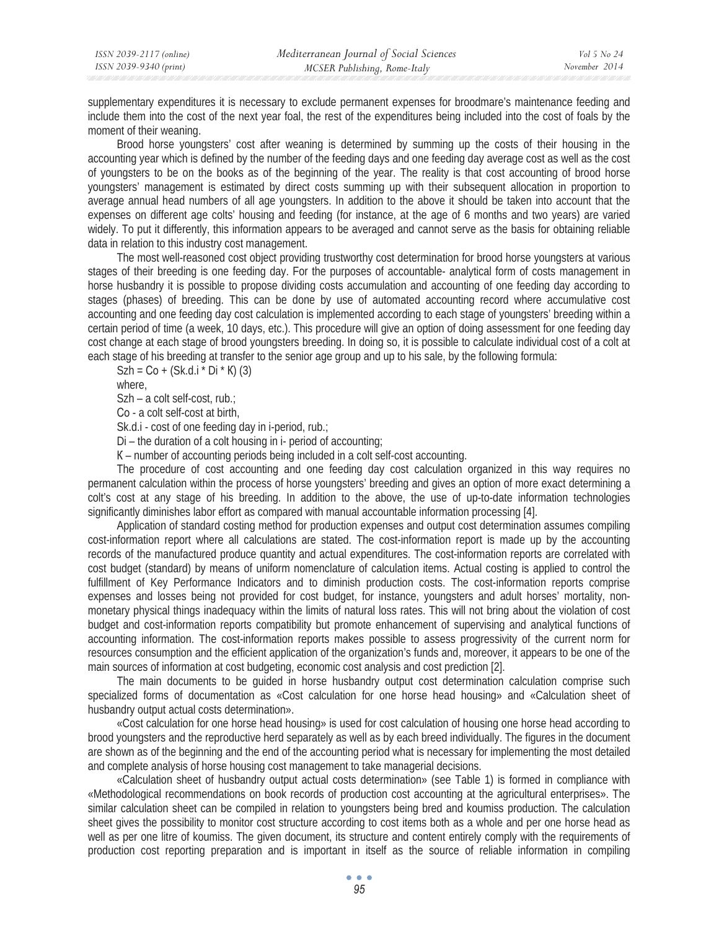supplementary expenditures it is necessary to exclude permanent expenses for broodmare's maintenance feeding and include them into the cost of the next year foal, the rest of the expenditures being included into the cost of foals by the moment of their weaning.

Brood horse youngsters' cost after weaning is determined by summing up the costs of their housing in the accounting year which is defined by the number of the feeding days and one feeding day average cost as well as the cost of youngsters to be on the books as of the beginning of the year. The reality is that cost accounting of brood horse youngsters' management is estimated by direct costs summing up with their subsequent allocation in proportion to average annual head numbers of all age youngsters. In addition to the above it should be taken into account that the expenses on different age colts' housing and feeding (for instance, at the age of 6 months and two years) are varied widely. To put it differently, this information appears to be averaged and cannot serve as the basis for obtaining reliable data in relation to this industry cost management.

The most well-reasoned cost object providing trustworthy cost determination for brood horse youngsters at various stages of their breeding is one feeding day. For the purposes of accountable- analytical form of costs management in horse husbandry it is possible to propose dividing costs accumulation and accounting of one feeding day according to stages (phases) of breeding. This can be done by use of automated accounting record where accumulative cost accounting and one feeding day cost calculation is implemented according to each stage of youngsters' breeding within a certain period of time (a week, 10 days, etc.). This procedure will give an option of doing assessment for one feeding day cost change at each stage of brood youngsters breeding. In doing so, it is possible to calculate individual cost of a colt at each stage of his breeding at transfer to the senior age group and up to his sale, by the following formula:

 $Szh = Co + (Sk.d.i * Di * K)$  (3)

where,

Szh – a colt self-cost, rub.;

Co - a colt self-cost at birth,

Sk.d.i - cost of one feeding day in i-period, rub.;

Di – the duration of a colt housing in i- period of accounting;

Ʉ – number of accounting periods being included in a colt self-cost accounting.

The procedure of cost accounting and one feeding day cost calculation organized in this way requires no permanent calculation within the process of horse youngsters' breeding and gives an option of more exact determining a colt's cost at any stage of his breeding. In addition to the above, the use of up-to-date information technologies significantly diminishes labor effort as compared with manual accountable information processing [4].

Application of standard costing method for production expenses and output cost determination assumes compiling cost-information report where all calculations are stated. The cost-information report is made up by the accounting records of the manufactured produce quantity and actual expenditures. The cost-information reports are correlated with cost budget (standard) by means of uniform nomenclature of calculation items. Actual costing is applied to control the fulfillment of Key Performance Indicators and to diminish production costs. The cost-information reports comprise expenses and losses being not provided for cost budget, for instance, youngsters and adult horses' mortality, nonmonetary physical things inadequacy within the limits of natural loss rates. This will not bring about the violation of cost budget and cost-information reports compatibility but promote enhancement of supervising and analytical functions of accounting information. The cost-information reports makes possible to assess progressivity of the current norm for resources consumption and the efficient application of the organization's funds and, moreover, it appears to be one of the main sources of information at cost budgeting, economic cost analysis and cost prediction [2].

The main documents to be guided in horse husbandry output cost determination calculation comprise such specialized forms of documentation as «Cost calculation for one horse head housing» and «Calculation sheet of husbandry output actual costs determination».

«Cost calculation for one horse head housing» is used for cost calculation of housing one horse head according to brood youngsters and the reproductive herd separately as well as by each breed individually. The figures in the document are shown as of the beginning and the end of the accounting period what is necessary for implementing the most detailed and complete analysis of horse housing cost management to take managerial decisions.

«Calculation sheet of husbandry output actual costs determination» (see Table 1) is formed in compliance with «Methodological recommendations on book records of production cost accounting at the agricultural enterprises». The similar calculation sheet can be compiled in relation to youngsters being bred and koumiss production. The calculation sheet gives the possibility to monitor cost structure according to cost items both as a whole and per one horse head as well as per one litre of koumiss. The given document, its structure and content entirely comply with the requirements of production cost reporting preparation and is important in itself as the source of reliable information in compiling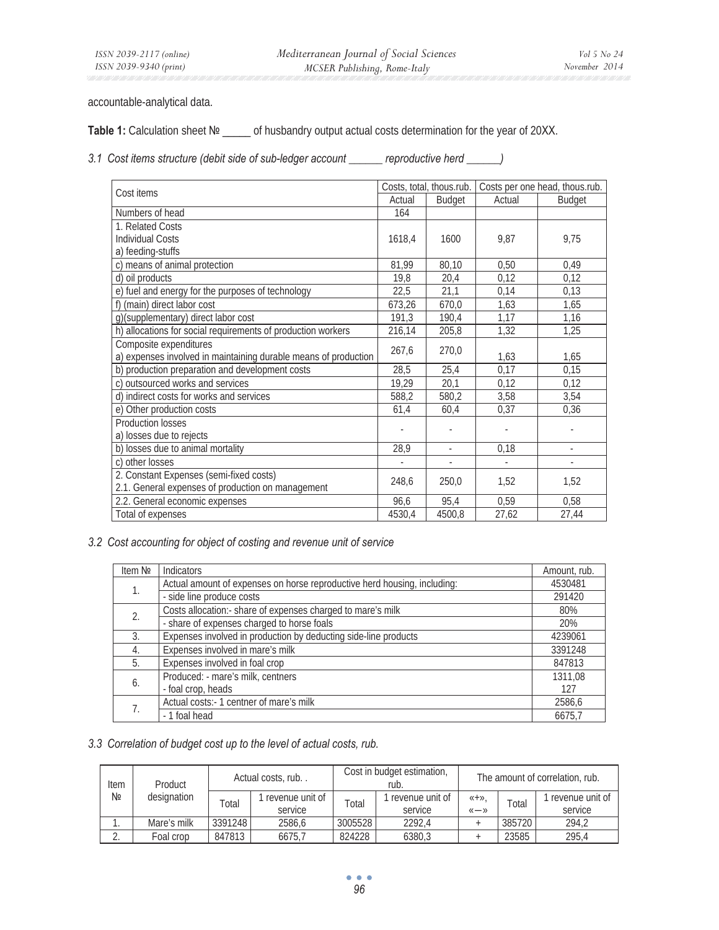accountable-analytical data.

Table 1: Calculation sheet № \_\_\_\_\_ of husbandry output actual costs determination for the year of 20XX.

*3.1 Cost items structure (debit side of sub-ledger account \_\_\_\_\_\_ reproductive herd \_\_\_\_\_\_)* 

| Cost items                                                      | Costs, total, thous.rub. |        | Costs per one head, thous.rub. |                |
|-----------------------------------------------------------------|--------------------------|--------|--------------------------------|----------------|
|                                                                 | Actual                   | Budget | Actual                         | <b>Budget</b>  |
| Numbers of head                                                 | 164                      |        |                                |                |
| 1. Related Costs                                                |                          |        |                                |                |
| <b>Individual Costs</b>                                         | 1618,4                   | 1600   | 9,87                           | 9,75           |
| a) feeding-stuffs                                               |                          |        |                                |                |
| c) means of animal protection                                   | 81,99                    | 80,10  | 0,50                           | 0,49           |
| d) oil products                                                 | 19,8                     | 20,4   | 0,12                           | 0,12           |
| e) fuel and energy for the purposes of technology               | 22,5                     | 21,1   | 0,14                           | 0,13           |
| f) (main) direct labor cost                                     | 673,26                   | 670,0  | 1,63                           | 1,65           |
| g)(supplementary) direct labor cost                             | 191,3                    | 190,4  | 1,17                           | 1,16           |
| h) allocations for social requirements of production workers    | 216,14                   | 205,8  | 1,32                           | 1,25           |
| Composite expenditures                                          | 267,6                    | 270,0  |                                |                |
| a) expenses involved in maintaining durable means of production |                          |        | 1,63                           | 1,65           |
| b) production preparation and development costs                 | 28,5                     | 25,4   | 0,17                           | 0,15           |
| c) outsourced works and services                                | 19,29                    | 20,1   | 0,12                           | 0,12           |
| d) indirect costs for works and services                        | 588,2                    | 580,2  | 3,58                           | 3,54           |
| e) Other production costs                                       | 61,4                     | 60,4   | 0,37                           | 0,36           |
| Production losses                                               |                          |        |                                |                |
| a) losses due to rejects                                        |                          |        |                                |                |
| b) losses due to animal mortality                               | 28,9                     |        | 0,18                           | $\blacksquare$ |
| c) other losses                                                 |                          |        |                                |                |
| 2. Constant Expenses (semi-fixed costs)                         | 248,6                    | 250,0  | 1,52                           | 1,52           |
| 2.1. General expenses of production on management               |                          |        |                                |                |
| 2.2. General economic expenses                                  | 96,6                     | 95,4   | 0.59                           | 0,58           |
| Total of expenses                                               | 4530,4                   | 4500,8 | 27,62                          | 27,44          |

#### *3.2 Cost accounting for object of costing and revenue unit of service*

| Item Nº       | Indicators                                                               | Amount, rub. |
|---------------|--------------------------------------------------------------------------|--------------|
|               | Actual amount of expenses on horse reproductive herd housing, including: | 4530481      |
|               | - side line produce costs                                                | 291420       |
| 2.            | Costs allocation:- share of expenses charged to mare's milk              | 80%          |
|               | - share of expenses charged to horse foals                               | 20%          |
| $\mathcal{R}$ | Expenses involved in production by deducting side-line products          | 4239061      |
| 4.            | Expenses involved in mare's milk                                         | 3391248      |
| 5.            | Expenses involved in foal crop                                           | 847813       |
| 6.            | Produced: - mare's milk, centners                                        | 1311.08      |
|               | - foal crop, heads                                                       | 127          |
|               | Actual costs:- 1 centner of mare's milk                                  | 2586,6       |
|               | - 1 foal head                                                            | 6675.7       |

*3.3 Correlation of budget cost up to the level of actual costs, rub.* 

| <b>Product</b><br>Item |             | Actual costs, rub<br>rub. |        | Cost in budget estimation,   | The amount of correlation, rub. |                            |                                                                                              |       |                              |
|------------------------|-------------|---------------------------|--------|------------------------------|---------------------------------|----------------------------|----------------------------------------------------------------------------------------------|-------|------------------------------|
| Nº                     |             | designation               | Total  | ' revenue unit of<br>service | Total                           | revenue unit of<br>service | $\langle\langle +\rangle\rangle$<br>$\left\langle \left\langle -\right\rangle \right\rangle$ | Total | ' revenue unit of<br>service |
|                        | Mare's milk | 3391248                   | 2586.6 | 3005528                      | 2292.4                          |                            | 385720                                                                                       | 294.2 |                              |
|                        | Foal crop   | 847813                    | 6675.7 | 824228                       | 6380.3                          |                            | 23585                                                                                        | 295.4 |                              |